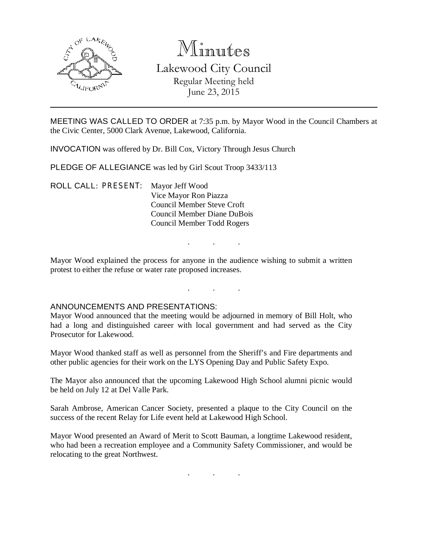

# Minutes

Lakewood City Council Regular Meeting held June 23, 2015

MEETING WAS CALLED TO ORDER at 7:35 p.m. by Mayor Wood in the Council Chambers at the Civic Center, 5000 Clark Avenue, Lakewood, California.

INVOCATION was offered by Dr. Bill Cox, Victory Through Jesus Church

PLEDGE OF ALLEGIANCE was led by Girl Scout Troop 3433/113

ROLL CALL: PRESENT: Mayor Jeff Wood Vice Mayor Ron Piazza Council Member Steve Croft Council Member Diane DuBois Council Member Todd Rogers

Mayor Wood explained the process for anyone in the audience wishing to submit a written protest to either the refuse or water rate proposed increases.

. . .

. . .

# ANNOUNCEMENTS AND PRESENTATIONS:

Mayor Wood announced that the meeting would be adjourned in memory of Bill Holt, who had a long and distinguished career with local government and had served as the City Prosecutor for Lakewood.

Mayor Wood thanked staff as well as personnel from the Sheriff's and Fire departments and other public agencies for their work on the LYS Opening Day and Public Safety Expo.

The Mayor also announced that the upcoming Lakewood High School alumni picnic would be held on July 12 at Del Valle Park.

Sarah Ambrose, American Cancer Society, presented a plaque to the City Council on the success of the recent Relay for Life event held at Lakewood High School.

Mayor Wood presented an Award of Merit to Scott Bauman, a longtime Lakewood resident, who had been a recreation employee and a Community Safety Commissioner, and would be relocating to the great Northwest.

. . .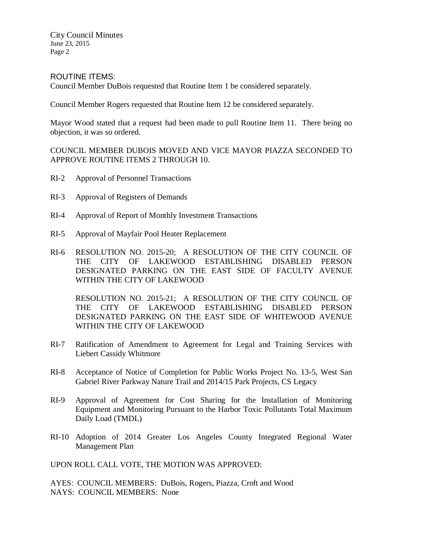#### ROUTINE ITEMS:

Council Member DuBois requested that Routine Item 1 be considered separately.

Council Member Rogers requested that Routine Item 12 be considered separately.

Mayor Wood stated that a request had been made to pull Routine Item 11. There being no objection, it was so ordered.

COUNCIL MEMBER DUBOIS MOVED AND VICE MAYOR PIAZZA SECONDED TO APPROVE ROUTINE ITEMS 2 THROUGH 10.

- RI-2 Approval of Personnel Transactions
- RI-3 Approval of Registers of Demands
- RI-4 Approval of Report of Monthly Investment Transactions
- RI-5 Approval of Mayfair Pool Heater Replacement
- RI-6 RESOLUTION NO. 2015-20; A RESOLUTION OF THE CITY COUNCIL OF THE CITY OF LAKEWOOD ESTABLISHING DISABLED PERSON DESIGNATED PARKING ON THE EAST SIDE OF FACULTY AVENUE WITHIN THE CITY OF LAKEWOOD

RESOLUTION NO. 2015-21; A RESOLUTION OF THE CITY COUNCIL OF THE CITY OF LAKEWOOD ESTABLISHING DISABLED PERSON DESIGNATED PARKING ON THE EAST SIDE OF WHITEWOOD AVENUE WITHIN THE CITY OF LAKEWOOD

- RI-7 Ratification of Amendment to Agreement for Legal and Training Services with Liebert Cassidy Whitmore
- RI-8 Acceptance of Notice of Completion for Public Works Project No. 13-5, West San Gabriel River Parkway Nature Trail and 2014/15 Park Projects, CS Legacy
- RI-9 Approval of Agreement for Cost Sharing for the Installation of Monitoring Equipment and Monitoring Pursuant to the Harbor Toxic Pollutants Total Maximum Daily Load (TMDL)
- RI-10 Adoption of 2014 Greater Los Angeles County Integrated Regional Water Management Plan

UPON ROLL CALL VOTE, THE MOTION WAS APPROVED:

AYES: COUNCIL MEMBERS: DuBois, Rogers, Piazza, Croft and Wood NAYS: COUNCIL MEMBERS: None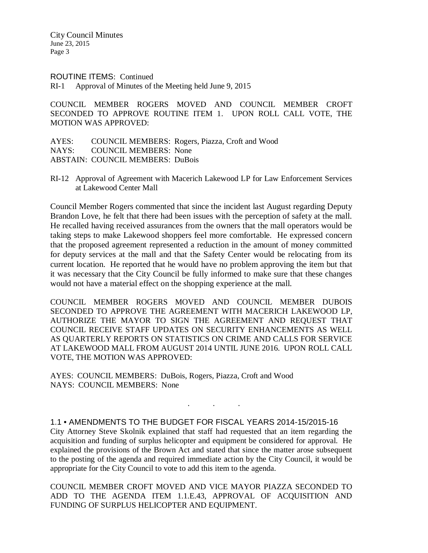#### ROUTINE ITEMS: Continued

RI-1 Approval of Minutes of the Meeting held June 9, 2015

COUNCIL MEMBER ROGERS MOVED AND COUNCIL MEMBER CROFT SECONDED TO APPROVE ROUTINE ITEM 1. UPON ROLL CALL VOTE, THE MOTION WAS APPROVED:

|                                         | AYES: COUNCIL MEMBERS: Rogers, Piazza, Croft and Wood |
|-----------------------------------------|-------------------------------------------------------|
| NAYS: COUNCIL MEMBERS: None             |                                                       |
| <b>ABSTAIN: COUNCIL MEMBERS: DuBois</b> |                                                       |

RI-12 Approval of Agreement with Macerich Lakewood LP for Law Enforcement Services at Lakewood Center Mall

Council Member Rogers commented that since the incident last August regarding Deputy Brandon Love, he felt that there had been issues with the perception of safety at the mall. He recalled having received assurances from the owners that the mall operators would be taking steps to make Lakewood shoppers feel more comfortable. He expressed concern that the proposed agreement represented a reduction in the amount of money committed for deputy services at the mall and that the Safety Center would be relocating from its current location. He reported that he would have no problem approving the item but that it was necessary that the City Council be fully informed to make sure that these changes would not have a material effect on the shopping experience at the mall.

COUNCIL MEMBER ROGERS MOVED AND COUNCIL MEMBER DUBOIS SECONDED TO APPROVE THE AGREEMENT WITH MACERICH LAKEWOOD LP, AUTHORIZE THE MAYOR TO SIGN THE AGREEMENT AND REQUEST THAT COUNCIL RECEIVE STAFF UPDATES ON SECURITY ENHANCEMENTS AS WELL AS QUARTERLY REPORTS ON STATISTICS ON CRIME AND CALLS FOR SERVICE AT LAKEWOOD MALL FROM AUGUST 2014 UNTIL JUNE 2016. UPON ROLL CALL VOTE, THE MOTION WAS APPROVED:

AYES: COUNCIL MEMBERS: DuBois, Rogers, Piazza, Croft and Wood NAYS: COUNCIL MEMBERS: None

1.1 • AMENDMENTS TO THE BUDGET FOR FISCAL YEARS 2014-15/2015-16

City Attorney Steve Skolnik explained that staff had requested that an item regarding the acquisition and funding of surplus helicopter and equipment be considered for approval. He explained the provisions of the Brown Act and stated that since the matter arose subsequent to the posting of the agenda and required immediate action by the City Council, it would be appropriate for the City Council to vote to add this item to the agenda.

. . .

COUNCIL MEMBER CROFT MOVED AND VICE MAYOR PIAZZA SECONDED TO ADD TO THE AGENDA ITEM 1.1.E.43, APPROVAL OF ACQUISITION AND FUNDING OF SURPLUS HELICOPTER AND EQUIPMENT.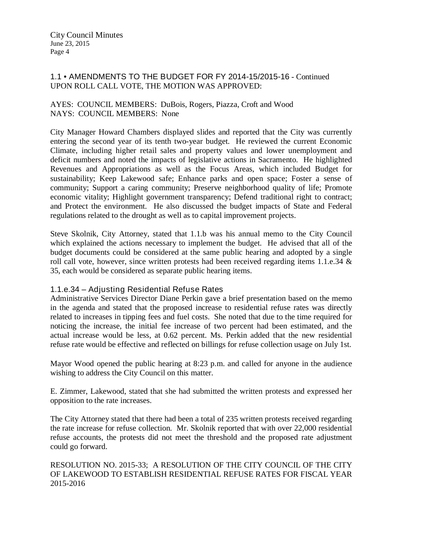# 1.1 • AMENDMENTS TO THE BUDGET FOR FY 2014-15/2015-16 - Continued UPON ROLL CALL VOTE, THE MOTION WAS APPROVED:

### AYES: COUNCIL MEMBERS: DuBois, Rogers, Piazza, Croft and Wood NAYS: COUNCIL MEMBERS: None

City Manager Howard Chambers displayed slides and reported that the City was currently entering the second year of its tenth two-year budget. He reviewed the current Economic Climate, including higher retail sales and property values and lower unemployment and deficit numbers and noted the impacts of legislative actions in Sacramento. He highlighted Revenues and Appropriations as well as the Focus Areas, which included Budget for sustainability; Keep Lakewood safe; Enhance parks and open space; Foster a sense of community; Support a caring community; Preserve neighborhood quality of life; Promote economic vitality; Highlight government transparency; Defend traditional right to contract; and Protect the environment. He also discussed the budget impacts of State and Federal regulations related to the drought as well as to capital improvement projects.

Steve Skolnik, City Attorney, stated that 1.1.b was his annual memo to the City Council which explained the actions necessary to implement the budget. He advised that all of the budget documents could be considered at the same public hearing and adopted by a single roll call vote, however, since written protests had been received regarding items 1.1.e.34 & 35, each would be considered as separate public hearing items.

# 1.1.e.34 – Adjusting Residential Refuse Rates

Administrative Services Director Diane Perkin gave a brief presentation based on the memo in the agenda and stated that the proposed increase to residential refuse rates was directly related to increases in tipping fees and fuel costs. She noted that due to the time required for noticing the increase, the initial fee increase of two percent had been estimated, and the actual increase would be less, at 0.62 percent. Ms. Perkin added that the new residential refuse rate would be effective and reflected on billings for refuse collection usage on July 1st.

Mayor Wood opened the public hearing at 8:23 p.m. and called for anyone in the audience wishing to address the City Council on this matter.

E. Zimmer, Lakewood, stated that she had submitted the written protests and expressed her opposition to the rate increases.

The City Attorney stated that there had been a total of 235 written protests received regarding the rate increase for refuse collection. Mr. Skolnik reported that with over 22,000 residential refuse accounts, the protests did not meet the threshold and the proposed rate adjustment could go forward.

RESOLUTION NO. 2015-33; A RESOLUTION OF THE CITY COUNCIL OF THE CITY OF LAKEWOOD TO ESTABLISH RESIDENTIAL REFUSE RATES FOR FISCAL YEAR 2015-2016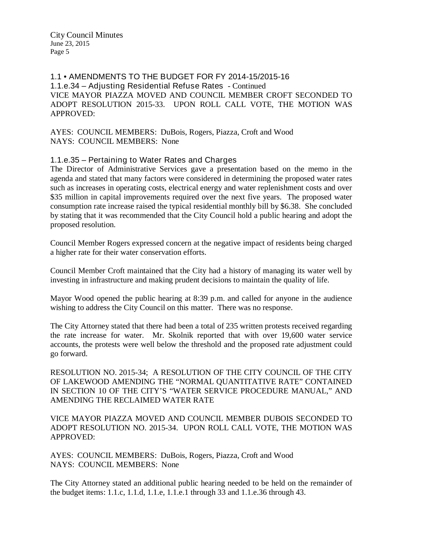1.1 • AMENDMENTS TO THE BUDGET FOR FY 2014-15/2015-16 1.1.e.34 – Adjusting Residential Refuse Rates - Continued VICE MAYOR PIAZZA MOVED AND COUNCIL MEMBER CROFT SECONDED TO ADOPT RESOLUTION 2015-33. UPON ROLL CALL VOTE, THE MOTION WAS APPROVED:

AYES: COUNCIL MEMBERS: DuBois, Rogers, Piazza, Croft and Wood NAYS: COUNCIL MEMBERS: None

# 1.1.e.35 – Pertaining to Water Rates and Charges

The Director of Administrative Services gave a presentation based on the memo in the agenda and stated that many factors were considered in determining the proposed water rates such as increases in operating costs, electrical energy and water replenishment costs and over \$35 million in capital improvements required over the next five years. The proposed water consumption rate increase raised the typical residential monthly bill by \$6.38. She concluded by stating that it was recommended that the City Council hold a public hearing and adopt the proposed resolution.

Council Member Rogers expressed concern at the negative impact of residents being charged a higher rate for their water conservation efforts.

Council Member Croft maintained that the City had a history of managing its water well by investing in infrastructure and making prudent decisions to maintain the quality of life.

Mayor Wood opened the public hearing at 8:39 p.m. and called for anyone in the audience wishing to address the City Council on this matter. There was no response.

The City Attorney stated that there had been a total of 235 written protests received regarding the rate increase for water. Mr. Skolnik reported that with over 19,600 water service accounts, the protests were well below the threshold and the proposed rate adjustment could go forward.

RESOLUTION NO. 2015-34; A RESOLUTION OF THE CITY COUNCIL OF THE CITY OF LAKEWOOD AMENDING THE "NORMAL QUANTITATIVE RATE" CONTAINED IN SECTION 10 OF THE CITY'S "WATER SERVICE PROCEDURE MANUAL," AND AMENDING THE RECLAIMED WATER RATE

VICE MAYOR PIAZZA MOVED AND COUNCIL MEMBER DUBOIS SECONDED TO ADOPT RESOLUTION NO. 2015-34. UPON ROLL CALL VOTE, THE MOTION WAS APPROVED:

AYES: COUNCIL MEMBERS: DuBois, Rogers, Piazza, Croft and Wood NAYS: COUNCIL MEMBERS: None

The City Attorney stated an additional public hearing needed to be held on the remainder of the budget items: 1.1.c, 1.1.d, 1.1.e, 1.1.e.1 through 33 and 1.1.e.36 through 43.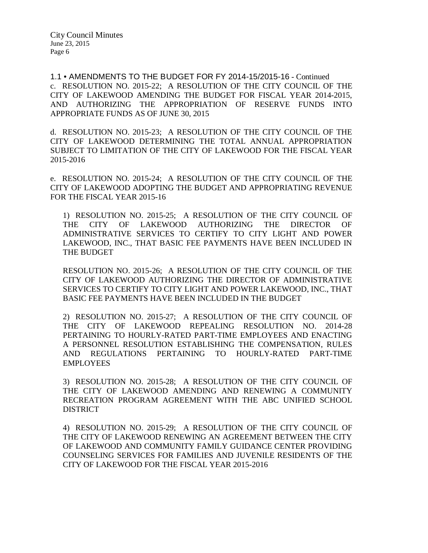1.1 • AMENDMENTS TO THE BUDGET FOR FY 2014-15/2015-16 - Continued c. RESOLUTION NO. 2015-22; A RESOLUTION OF THE CITY COUNCIL OF THE CITY OF LAKEWOOD AMENDING THE BUDGET FOR FISCAL YEAR 2014-2015, AND AUTHORIZING THE APPROPRIATION OF RESERVE FUNDS INTO APPROPRIATE FUNDS AS OF JUNE 30, 2015

d. RESOLUTION NO. 2015-23; A RESOLUTION OF THE CITY COUNCIL OF THE CITY OF LAKEWOOD DETERMINING THE TOTAL ANNUAL APPROPRIATION SUBJECT TO LIMITATION OF THE CITY OF LAKEWOOD FOR THE FISCAL YEAR 2015-2016

e. RESOLUTION NO. 2015-24; A RESOLUTION OF THE CITY COUNCIL OF THE CITY OF LAKEWOOD ADOPTING THE BUDGET AND APPROPRIATING REVENUE FOR THE FISCAL YEAR 2015-16

1) RESOLUTION NO. 2015-25; A RESOLUTION OF THE CITY COUNCIL OF THE CITY OF LAKEWOOD AUTHORIZING THE DIRECTOR OF ADMINISTRATIVE SERVICES TO CERTIFY TO CITY LIGHT AND POWER LAKEWOOD, INC., THAT BASIC FEE PAYMENTS HAVE BEEN INCLUDED IN THE BUDGET

RESOLUTION NO. 2015-26; A RESOLUTION OF THE CITY COUNCIL OF THE CITY OF LAKEWOOD AUTHORIZING THE DIRECTOR OF ADMINISTRATIVE SERVICES TO CERTIFY TO CITY LIGHT AND POWER LAKEWOOD, INC., THAT BASIC FEE PAYMENTS HAVE BEEN INCLUDED IN THE BUDGET

2) RESOLUTION NO. 2015-27; A RESOLUTION OF THE CITY COUNCIL OF THE CITY OF LAKEWOOD REPEALING RESOLUTION NO. 2014-28 PERTAINING TO HOURLY-RATED PART-TIME EMPLOYEES AND ENACTING A PERSONNEL RESOLUTION ESTABLISHING THE COMPENSATION, RULES AND REGULATIONS PERTAINING TO HOURLY-RATED PART-TIME EMPLOYEES

3) RESOLUTION NO. 2015-28; A RESOLUTION OF THE CITY COUNCIL OF THE CITY OF LAKEWOOD AMENDING AND RENEWING A COMMUNITY RECREATION PROGRAM AGREEMENT WITH THE ABC UNIFIED SCHOOL DISTRICT

4) RESOLUTION NO. 2015-29; A RESOLUTION OF THE CITY COUNCIL OF THE CITY OF LAKEWOOD RENEWING AN AGREEMENT BETWEEN THE CITY OF LAKEWOOD AND COMMUNITY FAMILY GUIDANCE CENTER PROVIDING COUNSELING SERVICES FOR FAMILIES AND JUVENILE RESIDENTS OF THE CITY OF LAKEWOOD FOR THE FISCAL YEAR 2015-2016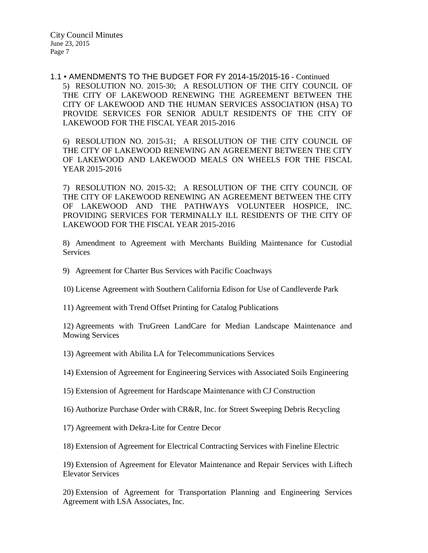### 1.1 • AMENDMENTS TO THE BUDGET FOR FY 2014-15/2015-16 - Continued 5) RESOLUTION NO. 2015-30; A RESOLUTION OF THE CITY COUNCIL OF THE CITY OF LAKEWOOD RENEWING THE AGREEMENT BETWEEN THE CITY OF LAKEWOOD AND THE HUMAN SERVICES ASSOCIATION (HSA) TO PROVIDE SERVICES FOR SENIOR ADULT RESIDENTS OF THE CITY OF LAKEWOOD FOR THE FISCAL YEAR 2015-2016

6) RESOLUTION NO. 2015-31; A RESOLUTION OF THE CITY COUNCIL OF THE CITY OF LAKEWOOD RENEWING AN AGREEMENT BETWEEN THE CITY OF LAKEWOOD AND LAKEWOOD MEALS ON WHEELS FOR THE FISCAL YEAR 2015-2016

7) RESOLUTION NO. 2015-32; A RESOLUTION OF THE CITY COUNCIL OF THE CITY OF LAKEWOOD RENEWING AN AGREEMENT BETWEEN THE CITY OF LAKEWOOD AND THE PATHWAYS VOLUNTEER HOSPICE, INC. PROVIDING SERVICES FOR TERMINALLY ILL RESIDENTS OF THE CITY OF LAKEWOOD FOR THE FISCAL YEAR 2015-2016

8) Amendment to Agreement with Merchants Building Maintenance for Custodial Services

- 9) Agreement for Charter Bus Services with Pacific Coachways
- 10) License Agreement with Southern California Edison for Use of Candleverde Park
- 11) Agreement with Trend Offset Printing for Catalog Publications

12) Agreements with TruGreen LandCare for Median Landscape Maintenance and Mowing Services

13) Agreement with Abilita LA for Telecommunications Services

- 14) Extension of Agreement for Engineering Services with Associated Soils Engineering
- 15) Extension of Agreement for Hardscape Maintenance with CJ Construction
- 16) Authorize Purchase Order with CR&R, Inc. for Street Sweeping Debris Recycling
- 17) Agreement with Dekra-Lite for Centre Decor

18) Extension of Agreement for Electrical Contracting Services with Fineline Electric

19) Extension of Agreement for Elevator Maintenance and Repair Services with Liftech Elevator Services

20) Extension of Agreement for Transportation Planning and Engineering Services Agreement with LSA Associates, Inc.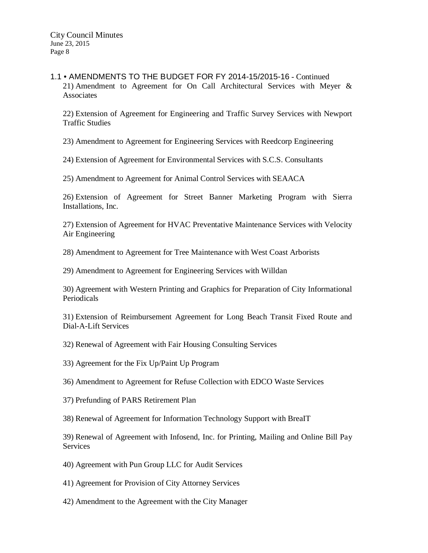1.1 • AMENDMENTS TO THE BUDGET FOR FY 2014-15/2015-16 - Continued 21) Amendment to Agreement for On Call Architectural Services with Meyer & Associates

22) Extension of Agreement for Engineering and Traffic Survey Services with Newport Traffic Studies

23) Amendment to Agreement for Engineering Services with Reedcorp Engineering

24) Extension of Agreement for Environmental Services with S.C.S. Consultants

25) Amendment to Agreement for Animal Control Services with SEAACA

26) Extension of Agreement for Street Banner Marketing Program with Sierra Installations, Inc.

27) Extension of Agreement for HVAC Preventative Maintenance Services with Velocity Air Engineering

28) Amendment to Agreement for Tree Maintenance with West Coast Arborists

29) Amendment to Agreement for Engineering Services with Willdan

30) Agreement with Western Printing and Graphics for Preparation of City Informational Periodicals

31) Extension of Reimbursement Agreement for Long Beach Transit Fixed Route and Dial-A-Lift Services

32) Renewal of Agreement with Fair Housing Consulting Services

33) Agreement for the Fix Up/Paint Up Program

36) Amendment to Agreement for Refuse Collection with EDCO Waste Services

37) Prefunding of PARS Retirement Plan

38) Renewal of Agreement for Information Technology Support with BreaIT

39) Renewal of Agreement with Infosend, Inc. for Printing, Mailing and Online Bill Pay **Services** 

- 40) Agreement with Pun Group LLC for Audit Services
- 41) Agreement for Provision of City Attorney Services
- 42) Amendment to the Agreement with the City Manager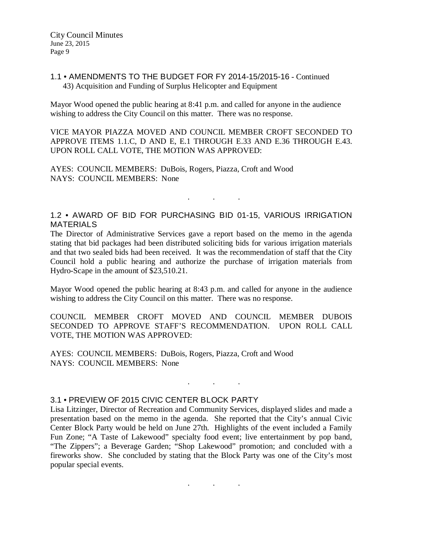# 1.1 • AMENDMENTS TO THE BUDGET FOR FY 2014-15/2015-16 - Continued 43) Acquisition and Funding of Surplus Helicopter and Equipment

Mayor Wood opened the public hearing at 8:41 p.m. and called for anyone in the audience wishing to address the City Council on this matter. There was no response.

VICE MAYOR PIAZZA MOVED AND COUNCIL MEMBER CROFT SECONDED TO APPROVE ITEMS 1.1.C, D AND E, E.1 THROUGH E.33 AND E.36 THROUGH E.43. UPON ROLL CALL VOTE, THE MOTION WAS APPROVED:

AYES: COUNCIL MEMBERS: DuBois, Rogers, Piazza, Croft and Wood NAYS: COUNCIL MEMBERS: None

# 1.2 • AWARD OF BID FOR PURCHASING BID 01-15, VARIOUS IRRIGATION MATERIALS

. . .

The Director of Administrative Services gave a report based on the memo in the agenda stating that bid packages had been distributed soliciting bids for various irrigation materials and that two sealed bids had been received. It was the recommendation of staff that the City Council hold a public hearing and authorize the purchase of irrigation materials from Hydro-Scape in the amount of \$23,510.21.

Mayor Wood opened the public hearing at 8:43 p.m. and called for anyone in the audience wishing to address the City Council on this matter. There was no response.

COUNCIL MEMBER CROFT MOVED AND COUNCIL MEMBER DUBOIS SECONDED TO APPROVE STAFF'S RECOMMENDATION. UPON ROLL CALL VOTE, THE MOTION WAS APPROVED:

AYES: COUNCIL MEMBERS: DuBois, Rogers, Piazza, Croft and Wood NAYS: COUNCIL MEMBERS: None

#### 3.1 • PREVIEW OF 2015 CIVIC CENTER BLOCK PARTY

Lisa Litzinger, Director of Recreation and Community Services, displayed slides and made a presentation based on the memo in the agenda. She reported that the City's annual Civic Center Block Party would be held on June 27th. Highlights of the event included a Family Fun Zone; "A Taste of Lakewood" specialty food event; live entertainment by pop band, "The Zippers"; a Beverage Garden; "Shop Lakewood" promotion; and concluded with a fireworks show. She concluded by stating that the Block Party was one of the City's most popular special events.

. . .

. . .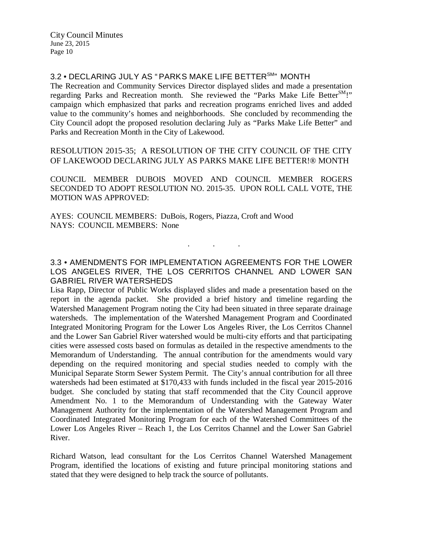3.2 • DECLARING JULY AS "PARKS MAKE LIFE BETTER<sup>SM</sup>" MONTH

The Recreation and Community Services Director displayed slides and made a presentation regarding Parks and Recreation month. She reviewed the "Parks Make Life Better<sup>SM</sup>!" campaign which emphasized that parks and recreation programs enriched lives and added value to the community's homes and neighborhoods. She concluded by recommending the City Council adopt the proposed resolution declaring July as "Parks Make Life Better" and Parks and Recreation Month in the City of Lakewood.

RESOLUTION 2015-35; A RESOLUTION OF THE CITY COUNCIL OF THE CITY OF LAKEWOOD DECLARING JULY AS PARKS MAKE LIFE BETTER!® MONTH

COUNCIL MEMBER DUBOIS MOVED AND COUNCIL MEMBER ROGERS SECONDED TO ADOPT RESOLUTION NO. 2015-35. UPON ROLL CALL VOTE, THE MOTION WAS APPROVED:

AYES: COUNCIL MEMBERS: DuBois, Rogers, Piazza, Croft and Wood NAYS: COUNCIL MEMBERS: None

3.3 • AMENDMENTS FOR IMPLEMENTATION AGREEMENTS FOR THE LOWER LOS ANGELES RIVER, THE LOS CERRITOS CHANNEL AND LOWER SAN GABRIEL RIVER WATERSHEDS

. . .

Lisa Rapp, Director of Public Works displayed slides and made a presentation based on the report in the agenda packet. She provided a brief history and timeline regarding the Watershed Management Program noting the City had been situated in three separate drainage watersheds. The implementation of the Watershed Management Program and Coordinated Integrated Monitoring Program for the Lower Los Angeles River, the Los Cerritos Channel and the Lower San Gabriel River watershed would be multi-city efforts and that participating cities were assessed costs based on formulas as detailed in the respective amendments to the Memorandum of Understanding. The annual contribution for the amendments would vary depending on the required monitoring and special studies needed to comply with the Municipal Separate Storm Sewer System Permit. The City's annual contribution for all three watersheds had been estimated at \$170,433 with funds included in the fiscal year 2015-2016 budget. She concluded by stating that staff recommended that the City Council approve Amendment No. 1 to the Memorandum of Understanding with the Gateway Water Management Authority for the implementation of the Watershed Management Program and Coordinated Integrated Monitoring Program for each of the Watershed Committees of the Lower Los Angeles River – Reach 1, the Los Cerritos Channel and the Lower San Gabriel River.

Richard Watson, lead consultant for the Los Cerritos Channel Watershed Management Program, identified the locations of existing and future principal monitoring stations and stated that they were designed to help track the source of pollutants.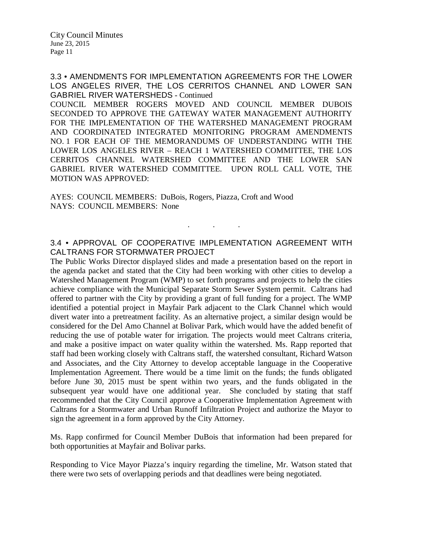3.3 • AMENDMENTS FOR IMPLEMENTATION AGREEMENTS FOR THE LOWER LOS ANGELES RIVER, THE LOS CERRITOS CHANNEL AND LOWER SAN GABRIEL RIVER WATERSHEDS - Continued

COUNCIL MEMBER ROGERS MOVED AND COUNCIL MEMBER DUBOIS SECONDED TO APPROVE THE GATEWAY WATER MANAGEMENT AUTHORITY FOR THE IMPLEMENTATION OF THE WATERSHED MANAGEMENT PROGRAM AND COORDINATED INTEGRATED MONITORING PROGRAM AMENDMENTS NO. 1 FOR EACH OF THE MEMORANDUMS OF UNDERSTANDING WITH THE LOWER LOS ANGELES RIVER – REACH 1 WATERSHED COMMITTEE, THE LOS CERRITOS CHANNEL WATERSHED COMMITTEE AND THE LOWER SAN GABRIEL RIVER WATERSHED COMMITTEE. UPON ROLL CALL VOTE, THE MOTION WAS APPROVED:

AYES: COUNCIL MEMBERS: DuBois, Rogers, Piazza, Croft and Wood NAYS: COUNCIL MEMBERS: None

### 3.4 • APPROVAL OF COOPERATIVE IMPLEMENTATION AGREEMENT WITH CALTRANS FOR STORMWATER PROJECT

. . .

The Public Works Director displayed slides and made a presentation based on the report in the agenda packet and stated that the City had been working with other cities to develop a Watershed Management Program (WMP) to set forth programs and projects to help the cities achieve compliance with the Municipal Separate Storm Sewer System permit. Caltrans had offered to partner with the City by providing a grant of full funding for a project. The WMP identified a potential project in Mayfair Park adjacent to the Clark Channel which would divert water into a pretreatment facility. As an alternative project, a similar design would be considered for the Del Amo Channel at Bolivar Park, which would have the added benefit of reducing the use of potable water for irrigation. The projects would meet Caltrans criteria, and make a positive impact on water quality within the watershed. Ms. Rapp reported that staff had been working closely with Caltrans staff, the watershed consultant, Richard Watson and Associates, and the City Attorney to develop acceptable language in the Cooperative Implementation Agreement. There would be a time limit on the funds; the funds obligated before June 30, 2015 must be spent within two years, and the funds obligated in the subsequent year would have one additional year. She concluded by stating that staff recommended that the City Council approve a Cooperative Implementation Agreement with Caltrans for a Stormwater and Urban Runoff Infiltration Project and authorize the Mayor to sign the agreement in a form approved by the City Attorney.

Ms. Rapp confirmed for Council Member DuBois that information had been prepared for both opportunities at Mayfair and Bolivar parks.

Responding to Vice Mayor Piazza's inquiry regarding the timeline, Mr. Watson stated that there were two sets of overlapping periods and that deadlines were being negotiated.